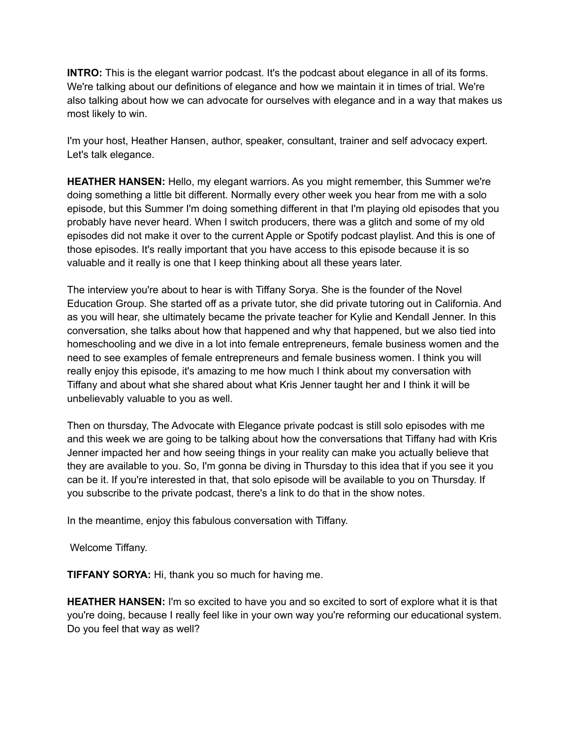**INTRO:** This is the elegant warrior podcast. It's the podcast about elegance in all of its forms. We're talking about our definitions of elegance and how we maintain it in times of trial. We're also talking about how we can advocate for ourselves with elegance and in a way that makes us most likely to win.

I'm your host, Heather Hansen, author, speaker, consultant, trainer and self advocacy expert. Let's talk elegance.

**HEATHER HANSEN:** Hello, my elegant warriors. As you might remember, this Summer we're doing something a little bit different. Normally every other week you hear from me with a solo episode, but this Summer I'm doing something different in that I'm playing old episodes that you probably have never heard. When I switch producers, there was a glitch and some of my old episodes did not make it over to the current Apple or Spotify podcast playlist. And this is one of those episodes. It's really important that you have access to this episode because it is so valuable and it really is one that I keep thinking about all these years later.

The interview you're about to hear is with Tiffany Sorya. She is the founder of the Novel Education Group. She started off as a private tutor, she did private tutoring out in California. And as you will hear, she ultimately became the private teacher for Kylie and Kendall Jenner. In this conversation, she talks about how that happened and why that happened, but we also tied into homeschooling and we dive in a lot into female entrepreneurs, female business women and the need to see examples of female entrepreneurs and female business women. I think you will really enjoy this episode, it's amazing to me how much I think about my conversation with Tiffany and about what she shared about what Kris Jenner taught her and I think it will be unbelievably valuable to you as well.

Then on thursday, The Advocate with Elegance private podcast is still solo episodes with me and this week we are going to be talking about how the conversations that Tiffany had with Kris Jenner impacted her and how seeing things in your reality can make you actually believe that they are available to you. So, I'm gonna be diving in Thursday to this idea that if you see it you can be it. If you're interested in that, that solo episode will be available to you on Thursday. If you subscribe to the private podcast, there's a link to do that in the show notes.

In the meantime, enjoy this fabulous conversation with Tiffany.

Welcome Tiffany.

**TIFFANY SORYA:** Hi, thank you so much for having me.

**HEATHER HANSEN:** I'm so excited to have you and so excited to sort of explore what it is that you're doing, because I really feel like in your own way you're reforming our educational system. Do you feel that way as well?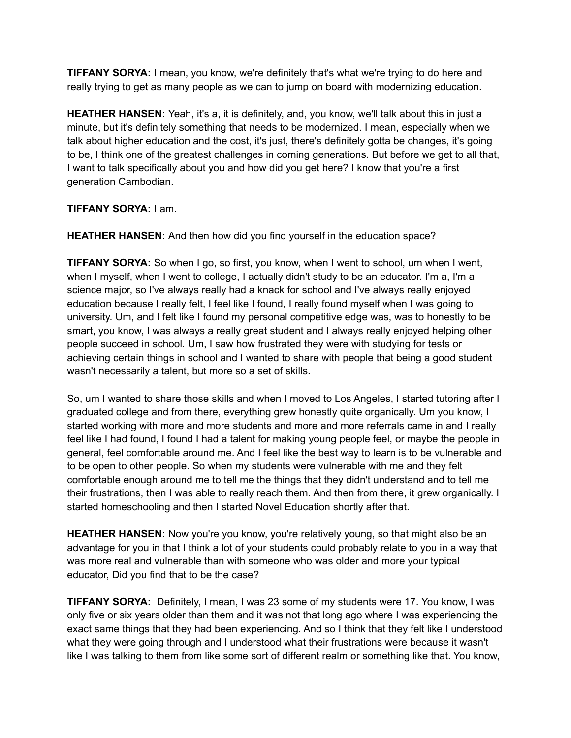**TIFFANY SORYA:** I mean, you know, we're definitely that's what we're trying to do here and really trying to get as many people as we can to jump on board with modernizing education.

**HEATHER HANSEN:** Yeah, it's a, it is definitely, and, you know, we'll talk about this in just a minute, but it's definitely something that needs to be modernized. I mean, especially when we talk about higher education and the cost, it's just, there's definitely gotta be changes, it's going to be, I think one of the greatest challenges in coming generations. But before we get to all that, I want to talk specifically about you and how did you get here? I know that you're a first generation Cambodian.

## **TIFFANY SORYA:** I am.

**HEATHER HANSEN:** And then how did you find yourself in the education space?

**TIFFANY SORYA:** So when I go, so first, you know, when I went to school, um when I went, when I myself, when I went to college, I actually didn't study to be an educator. I'm a, I'm a science major, so I've always really had a knack for school and I've always really enjoyed education because I really felt, I feel like I found, I really found myself when I was going to university. Um, and I felt like I found my personal competitive edge was, was to honestly to be smart, you know, I was always a really great student and I always really enjoyed helping other people succeed in school. Um, I saw how frustrated they were with studying for tests or achieving certain things in school and I wanted to share with people that being a good student wasn't necessarily a talent, but more so a set of skills.

So, um I wanted to share those skills and when I moved to Los Angeles, I started tutoring after I graduated college and from there, everything grew honestly quite organically. Um you know, I started working with more and more students and more and more referrals came in and I really feel like I had found, I found I had a talent for making young people feel, or maybe the people in general, feel comfortable around me. And I feel like the best way to learn is to be vulnerable and to be open to other people. So when my students were vulnerable with me and they felt comfortable enough around me to tell me the things that they didn't understand and to tell me their frustrations, then I was able to really reach them. And then from there, it grew organically. I started homeschooling and then I started Novel Education shortly after that.

**HEATHER HANSEN:** Now you're you know, you're relatively young, so that might also be an advantage for you in that I think a lot of your students could probably relate to you in a way that was more real and vulnerable than with someone who was older and more your typical educator, Did you find that to be the case?

**TIFFANY SORYA:** Definitely, I mean, I was 23 some of my students were 17. You know, I was only five or six years older than them and it was not that long ago where I was experiencing the exact same things that they had been experiencing. And so I think that they felt like I understood what they were going through and I understood what their frustrations were because it wasn't like I was talking to them from like some sort of different realm or something like that. You know,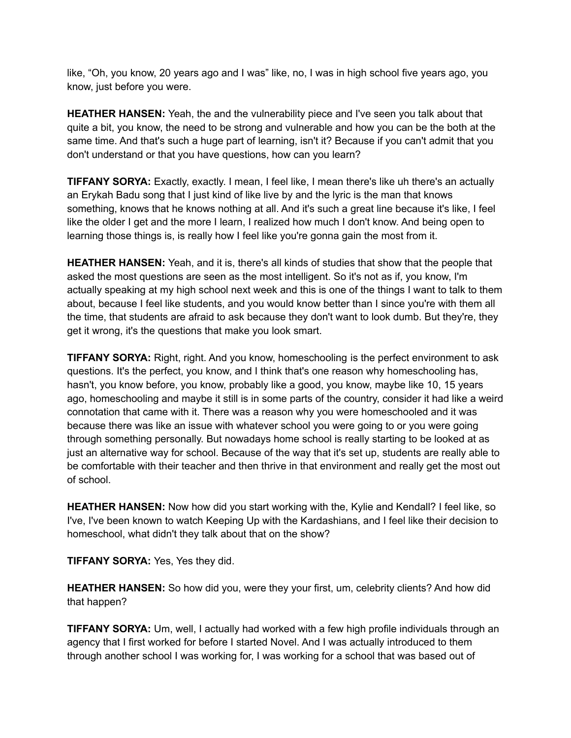like, "Oh, you know, 20 years ago and I was" like, no, I was in high school five years ago, you know, just before you were.

**HEATHER HANSEN:** Yeah, the and the vulnerability piece and I've seen you talk about that quite a bit, you know, the need to be strong and vulnerable and how you can be the both at the same time. And that's such a huge part of learning, isn't it? Because if you can't admit that you don't understand or that you have questions, how can you learn?

**TIFFANY SORYA:** Exactly, exactly. I mean, I feel like, I mean there's like uh there's an actually an Erykah Badu song that I just kind of like live by and the lyric is the man that knows something, knows that he knows nothing at all. And it's such a great line because it's like, I feel like the older I get and the more I learn, I realized how much I don't know. And being open to learning those things is, is really how I feel like you're gonna gain the most from it.

**HEATHER HANSEN:** Yeah, and it is, there's all kinds of studies that show that the people that asked the most questions are seen as the most intelligent. So it's not as if, you know, I'm actually speaking at my high school next week and this is one of the things I want to talk to them about, because I feel like students, and you would know better than I since you're with them all the time, that students are afraid to ask because they don't want to look dumb. But they're, they get it wrong, it's the questions that make you look smart.

**TIFFANY SORYA:** Right, right. And you know, homeschooling is the perfect environment to ask questions. It's the perfect, you know, and I think that's one reason why homeschooling has, hasn't, you know before, you know, probably like a good, you know, maybe like 10, 15 years ago, homeschooling and maybe it still is in some parts of the country, consider it had like a weird connotation that came with it. There was a reason why you were homeschooled and it was because there was like an issue with whatever school you were going to or you were going through something personally. But nowadays home school is really starting to be looked at as just an alternative way for school. Because of the way that it's set up, students are really able to be comfortable with their teacher and then thrive in that environment and really get the most out of school.

**HEATHER HANSEN:** Now how did you start working with the, Kylie and Kendall? I feel like, so I've, I've been known to watch Keeping Up with the Kardashians, and I feel like their decision to homeschool, what didn't they talk about that on the show?

**TIFFANY SORYA:** Yes, Yes they did.

**HEATHER HANSEN:** So how did you, were they your first, um, celebrity clients? And how did that happen?

**TIFFANY SORYA:** Um, well, I actually had worked with a few high profile individuals through an agency that I first worked for before I started Novel. And I was actually introduced to them through another school I was working for, I was working for a school that was based out of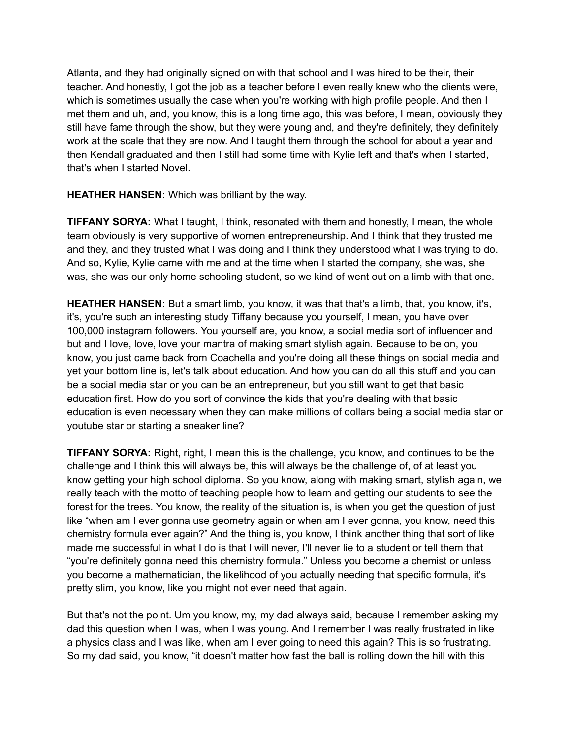Atlanta, and they had originally signed on with that school and I was hired to be their, their teacher. And honestly, I got the job as a teacher before I even really knew who the clients were, which is sometimes usually the case when you're working with high profile people. And then I met them and uh, and, you know, this is a long time ago, this was before, I mean, obviously they still have fame through the show, but they were young and, and they're definitely, they definitely work at the scale that they are now. And I taught them through the school for about a year and then Kendall graduated and then I still had some time with Kylie left and that's when I started, that's when I started Novel.

**HEATHER HANSEN:** Which was brilliant by the way.

**TIFFANY SORYA:** What I taught, I think, resonated with them and honestly, I mean, the whole team obviously is very supportive of women entrepreneurship. And I think that they trusted me and they, and they trusted what I was doing and I think they understood what I was trying to do. And so, Kylie, Kylie came with me and at the time when I started the company, she was, she was, she was our only home schooling student, so we kind of went out on a limb with that one.

**HEATHER HANSEN:** But a smart limb, you know, it was that that's a limb, that, you know, it's, it's, you're such an interesting study Tiffany because you yourself, I mean, you have over 100,000 instagram followers. You yourself are, you know, a social media sort of influencer and but and I love, love, love your mantra of making smart stylish again. Because to be on, you know, you just came back from Coachella and you're doing all these things on social media and yet your bottom line is, let's talk about education. And how you can do all this stuff and you can be a social media star or you can be an entrepreneur, but you still want to get that basic education first. How do you sort of convince the kids that you're dealing with that basic education is even necessary when they can make millions of dollars being a social media star or youtube star or starting a sneaker line?

**TIFFANY SORYA:** Right, right, I mean this is the challenge, you know, and continues to be the challenge and I think this will always be, this will always be the challenge of, of at least you know getting your high school diploma. So you know, along with making smart, stylish again, we really teach with the motto of teaching people how to learn and getting our students to see the forest for the trees. You know, the reality of the situation is, is when you get the question of just like "when am I ever gonna use geometry again or when am I ever gonna, you know, need this chemistry formula ever again?" And the thing is, you know, I think another thing that sort of like made me successful in what I do is that I will never, I'll never lie to a student or tell them that "you're definitely gonna need this chemistry formula." Unless you become a chemist or unless you become a mathematician, the likelihood of you actually needing that specific formula, it's pretty slim, you know, like you might not ever need that again.

But that's not the point. Um you know, my, my dad always said, because I remember asking my dad this question when I was, when I was young. And I remember I was really frustrated in like a physics class and I was like, when am I ever going to need this again? This is so frustrating. So my dad said, you know, "it doesn't matter how fast the ball is rolling down the hill with this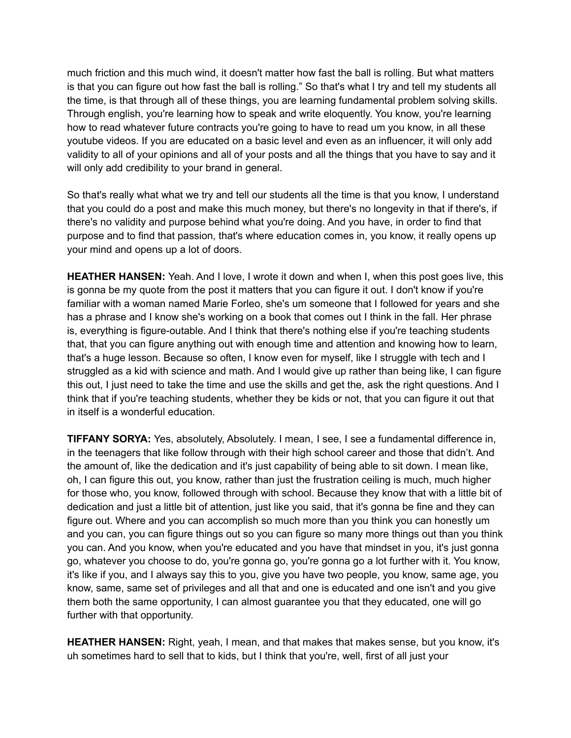much friction and this much wind, it doesn't matter how fast the ball is rolling. But what matters is that you can figure out how fast the ball is rolling." So that's what I try and tell my students all the time, is that through all of these things, you are learning fundamental problem solving skills. Through english, you're learning how to speak and write eloquently. You know, you're learning how to read whatever future contracts you're going to have to read um you know, in all these youtube videos. If you are educated on a basic level and even as an influencer, it will only add validity to all of your opinions and all of your posts and all the things that you have to say and it will only add credibility to your brand in general.

So that's really what what we try and tell our students all the time is that you know, I understand that you could do a post and make this much money, but there's no longevity in that if there's, if there's no validity and purpose behind what you're doing. And you have, in order to find that purpose and to find that passion, that's where education comes in, you know, it really opens up your mind and opens up a lot of doors.

**HEATHER HANSEN:** Yeah. And I love, I wrote it down and when I, when this post goes live, this is gonna be my quote from the post it matters that you can figure it out. I don't know if you're familiar with a woman named Marie Forleo, she's um someone that I followed for years and she has a phrase and I know she's working on a book that comes out I think in the fall. Her phrase is, everything is figure-outable. And I think that there's nothing else if you're teaching students that, that you can figure anything out with enough time and attention and knowing how to learn, that's a huge lesson. Because so often, I know even for myself, like I struggle with tech and I struggled as a kid with science and math. And I would give up rather than being like, I can figure this out, I just need to take the time and use the skills and get the, ask the right questions. And I think that if you're teaching students, whether they be kids or not, that you can figure it out that in itself is a wonderful education.

**TIFFANY SORYA:** Yes, absolutely, Absolutely. I mean, I see, I see a fundamental difference in, in the teenagers that like follow through with their high school career and those that didn't. And the amount of, like the dedication and it's just capability of being able to sit down. I mean like, oh, I can figure this out, you know, rather than just the frustration ceiling is much, much higher for those who, you know, followed through with school. Because they know that with a little bit of dedication and just a little bit of attention, just like you said, that it's gonna be fine and they can figure out. Where and you can accomplish so much more than you think you can honestly um and you can, you can figure things out so you can figure so many more things out than you think you can. And you know, when you're educated and you have that mindset in you, it's just gonna go, whatever you choose to do, you're gonna go, you're gonna go a lot further with it. You know, it's like if you, and I always say this to you, give you have two people, you know, same age, you know, same, same set of privileges and all that and one is educated and one isn't and you give them both the same opportunity, I can almost guarantee you that they educated, one will go further with that opportunity.

**HEATHER HANSEN:** Right, yeah, I mean, and that makes that makes sense, but you know, it's uh sometimes hard to sell that to kids, but I think that you're, well, first of all just your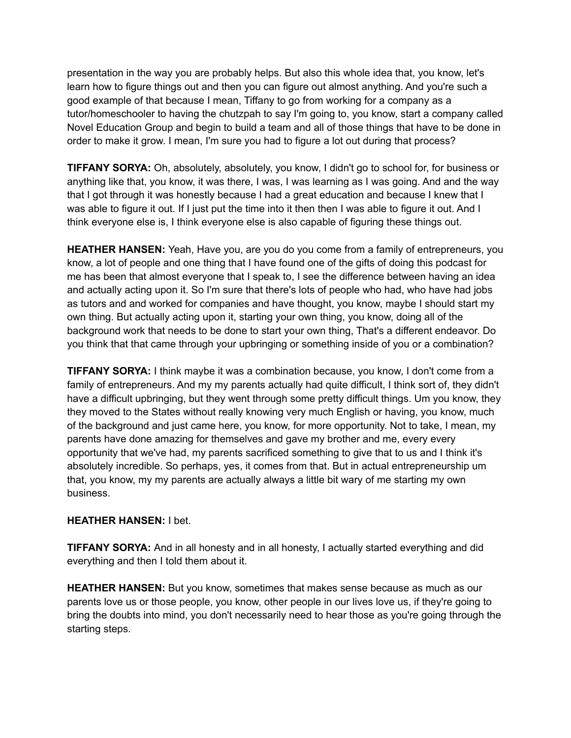presentation in the way you are probably helps. But also this whole idea that, you know, let's learn how to figure things out and then you can figure out almost anything. And you're such a good example of that because I mean, Tiffany to go from working for a company as a tutor/homeschooler to having the chutzpah to say I'm going to, you know, start a company called Novel Education Group and begin to build a team and all of those things that have to be done in order to make it grow. I mean, I'm sure you had to figure a lot out during that process?

**TIFFANY SORYA:** Oh, absolutely, absolutely, you know, I didn't go to school for, for business or anything like that, you know, it was there, I was, I was learning as I was going. And and the way that I got through it was honestly because I had a great education and because I knew that I was able to figure it out. If I just put the time into it then then I was able to figure it out. And I think everyone else is, I think everyone else is also capable of figuring these things out.

**HEATHER HANSEN:** Yeah, Have you, are you do you come from a family of entrepreneurs, you know, a lot of people and one thing that I have found one of the gifts of doing this podcast for me has been that almost everyone that I speak to, I see the difference between having an idea and actually acting upon it. So I'm sure that there's lots of people who had, who have had jobs as tutors and and worked for companies and have thought, you know, maybe I should start my own thing. But actually acting upon it, starting your own thing, you know, doing all of the background work that needs to be done to start your own thing, That's a different endeavor. Do you think that that came through your upbringing or something inside of you or a combination?

**TIFFANY SORYA:** I think maybe it was a combination because, you know, I don't come from a family of entrepreneurs. And my my parents actually had quite difficult, I think sort of, they didn't have a difficult upbringing, but they went through some pretty difficult things. Um you know, they they moved to the States without really knowing very much English or having, you know, much of the background and just came here, you know, for more opportunity. Not to take, I mean, my parents have done amazing for themselves and gave my brother and me, every every opportunity that we've had, my parents sacrificed something to give that to us and I think it's absolutely incredible. So perhaps, yes, it comes from that. But in actual entrepreneurship um that, you know, my my parents are actually always a little bit wary of me starting my own business.

## **HEATHER HANSEN:** I bet.

**TIFFANY SORYA:** And in all honesty and in all honesty, I actually started everything and did everything and then I told them about it.

**HEATHER HANSEN:** But you know, sometimes that makes sense because as much as our parents love us or those people, you know, other people in our lives love us, if they're going to bring the doubts into mind, you don't necessarily need to hear those as you're going through the starting steps.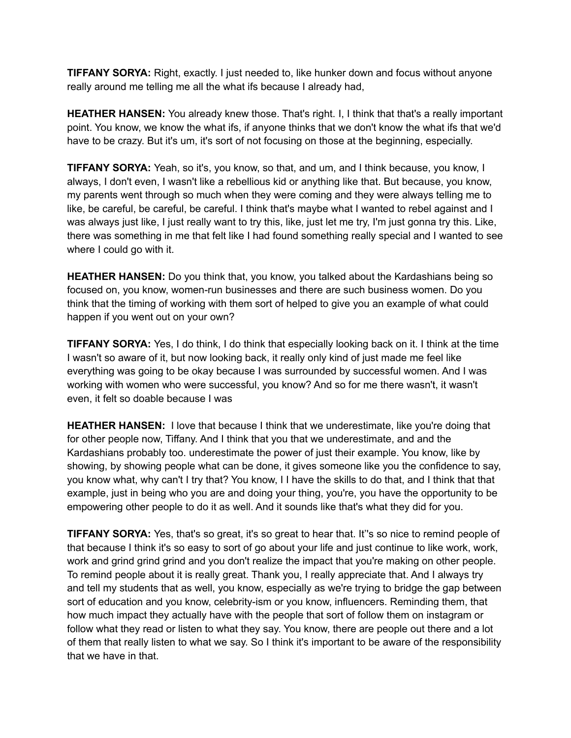**TIFFANY SORYA:** Right, exactly. I just needed to, like hunker down and focus without anyone really around me telling me all the what ifs because I already had,

**HEATHER HANSEN:** You already knew those. That's right. I, I think that that's a really important point. You know, we know the what ifs, if anyone thinks that we don't know the what ifs that we'd have to be crazy. But it's um, it's sort of not focusing on those at the beginning, especially.

**TIFFANY SORYA:** Yeah, so it's, you know, so that, and um, and I think because, you know, I always, I don't even, I wasn't like a rebellious kid or anything like that. But because, you know, my parents went through so much when they were coming and they were always telling me to like, be careful, be careful, be careful. I think that's maybe what I wanted to rebel against and I was always just like, I just really want to try this, like, just let me try, I'm just gonna try this. Like, there was something in me that felt like I had found something really special and I wanted to see where I could go with it.

**HEATHER HANSEN:** Do you think that, you know, you talked about the Kardashians being so focused on, you know, women-run businesses and there are such business women. Do you think that the timing of working with them sort of helped to give you an example of what could happen if you went out on your own?

**TIFFANY SORYA:** Yes, I do think, I do think that especially looking back on it. I think at the time I wasn't so aware of it, but now looking back, it really only kind of just made me feel like everything was going to be okay because I was surrounded by successful women. And I was working with women who were successful, you know? And so for me there wasn't, it wasn't even, it felt so doable because I was

**HEATHER HANSEN:** I love that because I think that we underestimate, like you're doing that for other people now, Tiffany. And I think that you that we underestimate, and and the Kardashians probably too. underestimate the power of just their example. You know, like by showing, by showing people what can be done, it gives someone like you the confidence to say, you know what, why can't I try that? You know, I I have the skills to do that, and I think that that example, just in being who you are and doing your thing, you're, you have the opportunity to be empowering other people to do it as well. And it sounds like that's what they did for you.

**TIFFANY SORYA:** Yes, that's so great, it's so great to hear that. It''s so nice to remind people of that because I think it's so easy to sort of go about your life and just continue to like work, work, work and grind grind grind and you don't realize the impact that you're making on other people. To remind people about it is really great. Thank you, I really appreciate that. And I always try and tell my students that as well, you know, especially as we're trying to bridge the gap between sort of education and you know, celebrity-ism or you know, influencers. Reminding them, that how much impact they actually have with the people that sort of follow them on instagram or follow what they read or listen to what they say. You know, there are people out there and a lot of them that really listen to what we say. So I think it's important to be aware of the responsibility that we have in that.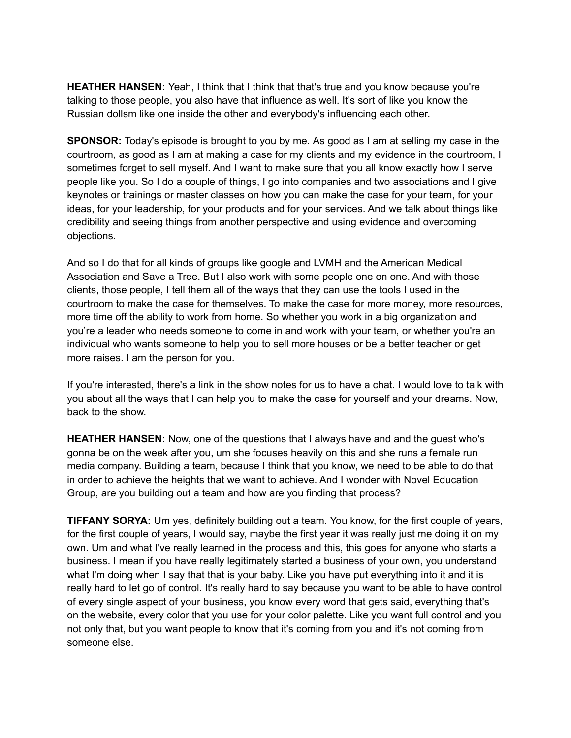**HEATHER HANSEN:** Yeah, I think that I think that that's true and you know because you're talking to those people, you also have that influence as well. It's sort of like you know the Russian dollsm like one inside the other and everybody's influencing each other.

**SPONSOR:** Today's episode is brought to you by me. As good as I am at selling my case in the courtroom, as good as I am at making a case for my clients and my evidence in the courtroom, I sometimes forget to sell myself. And I want to make sure that you all know exactly how I serve people like you. So I do a couple of things, I go into companies and two associations and I give keynotes or trainings or master classes on how you can make the case for your team, for your ideas, for your leadership, for your products and for your services. And we talk about things like credibility and seeing things from another perspective and using evidence and overcoming objections.

And so I do that for all kinds of groups like google and LVMH and the American Medical Association and Save a Tree. But I also work with some people one on one. And with those clients, those people, I tell them all of the ways that they can use the tools I used in the courtroom to make the case for themselves. To make the case for more money, more resources, more time off the ability to work from home. So whether you work in a big organization and you're a leader who needs someone to come in and work with your team, or whether you're an individual who wants someone to help you to sell more houses or be a better teacher or get more raises. I am the person for you.

If you're interested, there's a link in the show notes for us to have a chat. I would love to talk with you about all the ways that I can help you to make the case for yourself and your dreams. Now, back to the show.

**HEATHER HANSEN:** Now, one of the questions that I always have and and the guest who's gonna be on the week after you, um she focuses heavily on this and she runs a female run media company. Building a team, because I think that you know, we need to be able to do that in order to achieve the heights that we want to achieve. And I wonder with Novel Education Group, are you building out a team and how are you finding that process?

**TIFFANY SORYA:** Um yes, definitely building out a team. You know, for the first couple of years, for the first couple of years, I would say, maybe the first year it was really just me doing it on my own. Um and what I've really learned in the process and this, this goes for anyone who starts a business. I mean if you have really legitimately started a business of your own, you understand what I'm doing when I say that that is your baby. Like you have put everything into it and it is really hard to let go of control. It's really hard to say because you want to be able to have control of every single aspect of your business, you know every word that gets said, everything that's on the website, every color that you use for your color palette. Like you want full control and you not only that, but you want people to know that it's coming from you and it's not coming from someone else.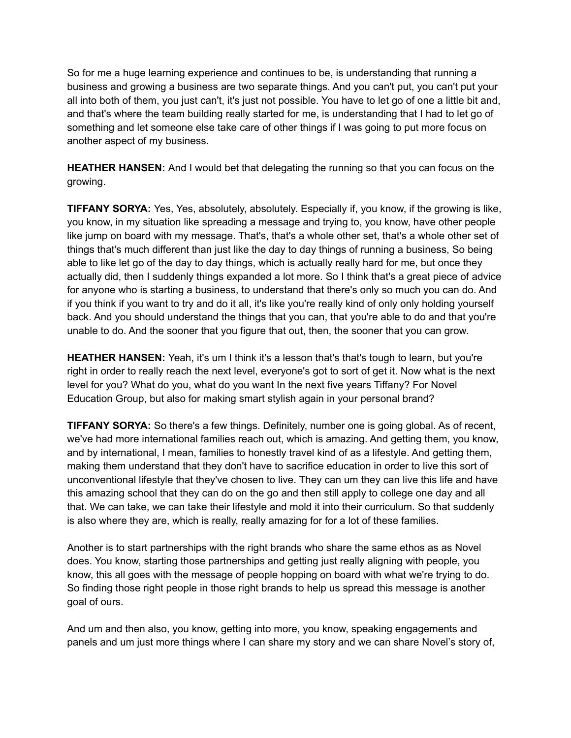So for me a huge learning experience and continues to be, is understanding that running a business and growing a business are two separate things. And you can't put, you can't put your all into both of them, you just can't, it's just not possible. You have to let go of one a little bit and, and that's where the team building really started for me, is understanding that I had to let go of something and let someone else take care of other things if I was going to put more focus on another aspect of my business.

**HEATHER HANSEN:** And I would bet that delegating the running so that you can focus on the growing.

**TIFFANY SORYA:** Yes, Yes, absolutely, absolutely. Especially if, you know, if the growing is like, you know, in my situation like spreading a message and trying to, you know, have other people like jump on board with my message. That's, that's a whole other set, that's a whole other set of things that's much different than just like the day to day things of running a business, So being able to like let go of the day to day things, which is actually really hard for me, but once they actually did, then I suddenly things expanded a lot more. So I think that's a great piece of advice for anyone who is starting a business, to understand that there's only so much you can do. And if you think if you want to try and do it all, it's like you're really kind of only only holding yourself back. And you should understand the things that you can, that you're able to do and that you're unable to do. And the sooner that you figure that out, then, the sooner that you can grow.

**HEATHER HANSEN:** Yeah, it's um I think it's a lesson that's that's tough to learn, but you're right in order to really reach the next level, everyone's got to sort of get it. Now what is the next level for you? What do you, what do you want In the next five years Tiffany? For Novel Education Group, but also for making smart stylish again in your personal brand?

**TIFFANY SORYA:** So there's a few things. Definitely, number one is going global. As of recent, we've had more international families reach out, which is amazing. And getting them, you know, and by international, I mean, families to honestly travel kind of as a lifestyle. And getting them, making them understand that they don't have to sacrifice education in order to live this sort of unconventional lifestyle that they've chosen to live. They can um they can live this life and have this amazing school that they can do on the go and then still apply to college one day and all that. We can take, we can take their lifestyle and mold it into their curriculum. So that suddenly is also where they are, which is really, really amazing for for a lot of these families.

Another is to start partnerships with the right brands who share the same ethos as as Novel does. You know, starting those partnerships and getting just really aligning with people, you know, this all goes with the message of people hopping on board with what we're trying to do. So finding those right people in those right brands to help us spread this message is another goal of ours.

And um and then also, you know, getting into more, you know, speaking engagements and panels and um just more things where I can share my story and we can share Novel's story of,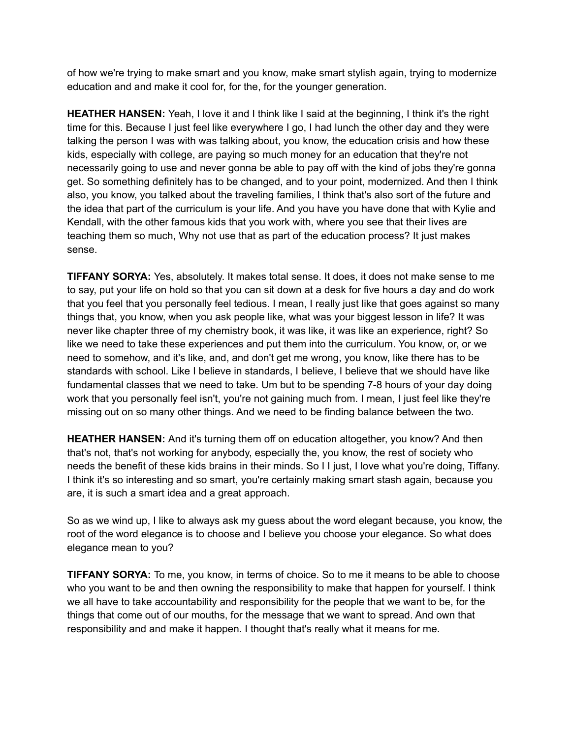of how we're trying to make smart and you know, make smart stylish again, trying to modernize education and and make it cool for, for the, for the younger generation.

**HEATHER HANSEN:** Yeah, I love it and I think like I said at the beginning, I think it's the right time for this. Because I just feel like everywhere I go, I had lunch the other day and they were talking the person I was with was talking about, you know, the education crisis and how these kids, especially with college, are paying so much money for an education that they're not necessarily going to use and never gonna be able to pay off with the kind of jobs they're gonna get. So something definitely has to be changed, and to your point, modernized. And then I think also, you know, you talked about the traveling families, I think that's also sort of the future and the idea that part of the curriculum is your life. And you have you have done that with Kylie and Kendall, with the other famous kids that you work with, where you see that their lives are teaching them so much, Why not use that as part of the education process? It just makes sense.

**TIFFANY SORYA:** Yes, absolutely. It makes total sense. It does, it does not make sense to me to say, put your life on hold so that you can sit down at a desk for five hours a day and do work that you feel that you personally feel tedious. I mean, I really just like that goes against so many things that, you know, when you ask people like, what was your biggest lesson in life? It was never like chapter three of my chemistry book, it was like, it was like an experience, right? So like we need to take these experiences and put them into the curriculum. You know, or, or we need to somehow, and it's like, and, and don't get me wrong, you know, like there has to be standards with school. Like I believe in standards, I believe, I believe that we should have like fundamental classes that we need to take. Um but to be spending 7-8 hours of your day doing work that you personally feel isn't, you're not gaining much from. I mean, I just feel like they're missing out on so many other things. And we need to be finding balance between the two.

**HEATHER HANSEN:** And it's turning them off on education altogether, you know? And then that's not, that's not working for anybody, especially the, you know, the rest of society who needs the benefit of these kids brains in their minds. So I I just, I love what you're doing, Tiffany. I think it's so interesting and so smart, you're certainly making smart stash again, because you are, it is such a smart idea and a great approach.

So as we wind up, I like to always ask my guess about the word elegant because, you know, the root of the word elegance is to choose and I believe you choose your elegance. So what does elegance mean to you?

**TIFFANY SORYA:** To me, you know, in terms of choice. So to me it means to be able to choose who you want to be and then owning the responsibility to make that happen for yourself. I think we all have to take accountability and responsibility for the people that we want to be, for the things that come out of our mouths, for the message that we want to spread. And own that responsibility and and make it happen. I thought that's really what it means for me.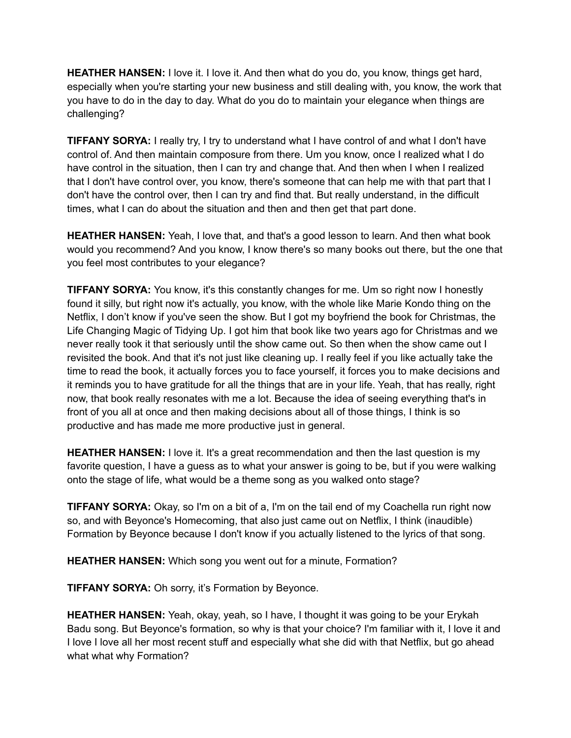**HEATHER HANSEN:** I love it. I love it. And then what do you do, you know, things get hard, especially when you're starting your new business and still dealing with, you know, the work that you have to do in the day to day. What do you do to maintain your elegance when things are challenging?

**TIFFANY SORYA:** I really try, I try to understand what I have control of and what I don't have control of. And then maintain composure from there. Um you know, once I realized what I do have control in the situation, then I can try and change that. And then when I when I realized that I don't have control over, you know, there's someone that can help me with that part that I don't have the control over, then I can try and find that. But really understand, in the difficult times, what I can do about the situation and then and then get that part done.

**HEATHER HANSEN:** Yeah, I love that, and that's a good lesson to learn. And then what book would you recommend? And you know, I know there's so many books out there, but the one that you feel most contributes to your elegance?

**TIFFANY SORYA:** You know, it's this constantly changes for me. Um so right now I honestly found it silly, but right now it's actually, you know, with the whole like Marie Kondo thing on the Netflix, I don't know if you've seen the show. But I got my boyfriend the book for Christmas, the Life Changing Magic of Tidying Up. I got him that book like two years ago for Christmas and we never really took it that seriously until the show came out. So then when the show came out I revisited the book. And that it's not just like cleaning up. I really feel if you like actually take the time to read the book, it actually forces you to face yourself, it forces you to make decisions and it reminds you to have gratitude for all the things that are in your life. Yeah, that has really, right now, that book really resonates with me a lot. Because the idea of seeing everything that's in front of you all at once and then making decisions about all of those things, I think is so productive and has made me more productive just in general.

**HEATHER HANSEN:** I love it. It's a great recommendation and then the last question is my favorite question, I have a guess as to what your answer is going to be, but if you were walking onto the stage of life, what would be a theme song as you walked onto stage?

**TIFFANY SORYA:** Okay, so I'm on a bit of a, I'm on the tail end of my Coachella run right now so, and with Beyonce's Homecoming, that also just came out on Netflix, I think (inaudible) Formation by Beyonce because I don't know if you actually listened to the lyrics of that song.

**HEATHER HANSEN:** Which song you went out for a minute, Formation?

**TIFFANY SORYA:** Oh sorry, it's Formation by Beyonce.

**HEATHER HANSEN:** Yeah, okay, yeah, so I have, I thought it was going to be your Erykah Badu song. But Beyonce's formation, so why is that your choice? I'm familiar with it, I love it and I love I love all her most recent stuff and especially what she did with that Netflix, but go ahead what what why Formation?